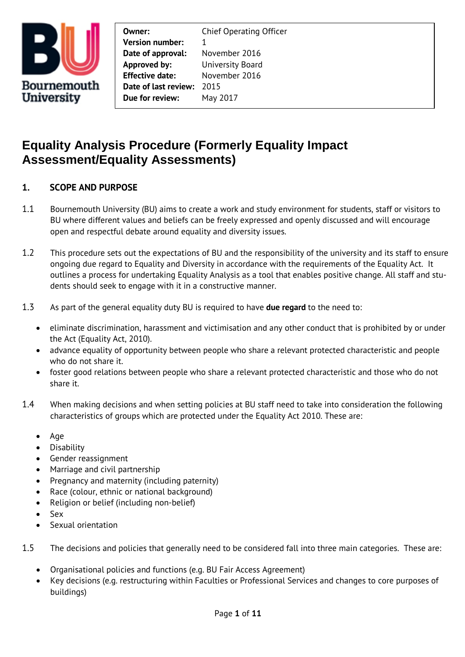

**Owner:** Chief Operating Officer **Version number:** 1 **Date of approval:** November 2016 **Approved by:** University Board **Effective date:** November 2016 **Date of last review:** 2015 **Due for review:** May 2017

# **Equality Analysis Procedure (Formerly Equality Impact Assessment/Equality Assessments)**

# **1. SCOPE AND PURPOSE**

- 1.1 Bournemouth University (BU) aims to create a work and study environment for students, staff or visitors to BU where different values and beliefs can be freely expressed and openly discussed and will encourage open and respectful debate around equality and diversity issues.
- 1.2 This procedure sets out the expectations of BU and the responsibility of the university and its staff to ensure ongoing due regard to Equality and Diversity in accordance with the requirements of the Equality Act. It outlines a process for undertaking Equality Analysis as a tool that enables positive change. All staff and students should seek to engage with it in a constructive manner.
- 1.3 As part of the general equality duty BU is required to have **due regard** to the need to:
	- eliminate discrimination, harassment and victimisation and any other conduct that is prohibited by or under the Act (Equality Act, 2010).
	- advance equality of opportunity between people who share a relevant protected characteristic and people who do not share it.
	- foster good relations between people who share a relevant protected characteristic and those who do not share it.
- 1.4 When making decisions and when setting policies at BU staff need to take into consideration the following characteristics of groups which are protected under the Equality Act 2010. These are:
	- Age
	- Disability
	- Gender reassignment
	- Marriage and civil partnership
	- Pregnancy and maternity (including paternity)
	- Race (colour, ethnic or national background)
	- Religion or belief (including non-belief)
	- Sex
	- Sexual orientation

1.5 The decisions and policies that generally need to be considered fall into three main categories. These are:

- Organisational policies and functions (e.g. BU Fair Access Agreement)
- Key decisions (e.g. restructuring within Faculties or Professional Services and changes to core purposes of buildings)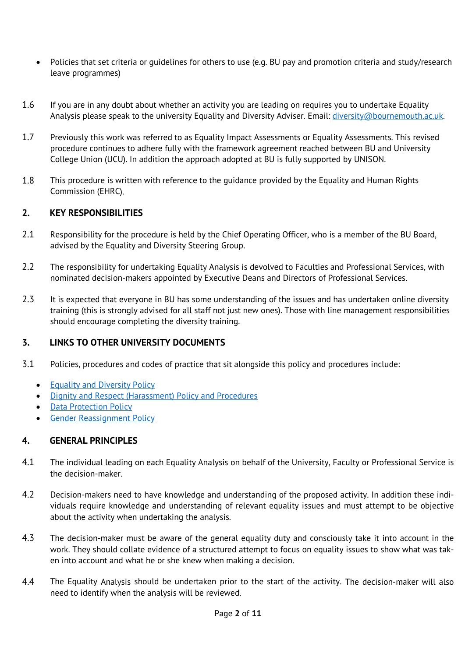- Policies that set criteria or guidelines for others to use (e.g. BU pay and promotion criteria and study/research leave programmes)
- 1.6 If you are in any doubt about whether an activity you are leading on requires you to undertake Equality Analysis please speak to the university Equality and Diversity Adviser. Email: [diversity@bournemouth.ac.uk.](mailto:diversity@bournemouth.ac.uk)
- 1.7 Previously this work was referred to as Equality Impact Assessments or Equality Assessments. This revised procedure continues to adhere fully with the framework agreement reached between BU and University College Union (UCU). In addition the approach adopted at BU is fully supported by UNISON.
- 1.8 This procedure is written with reference to the guidance provided by the Equality and Human Rights Commission (EHRC).

#### **2. KEY RESPONSIBILITIES**

- 2.1 Responsibility for the procedure is held by the Chief Operating Officer, who is a member of the BU Board, advised by the Equality and Diversity Steering Group.
- 2.2 The responsibility for undertaking Equality Analysis is devolved to Faculties and Professional Services, with nominated decision-makers appointed by Executive Deans and Directors of Professional Services.
- 2.3 It is expected that everyone in BU has some understanding of the issues and has undertaken online diversity training (this is strongly advised for all staff not just new ones). Those with line management responsibilities should encourage completing the diversity training.

#### **3. LINKS TO OTHER UNIVERSITY DOCUMENTS**

- 3.1 Policies, procedures and codes of practice that sit alongside this policy and procedures include:
	- [Equality and Diversity Policy](https://www1.bournemouth.ac.uk/sites/default/files/asset/document/dignity-diversity-and-equality-policy.pdf)
	- [Dignity and Respect \(Harassment\) Policy and Procedures](https://www1.bournemouth.ac.uk/sites/default/files/asset/document/Dignity%20and%20Respect%20Policy.pdf)
	- **[Data Protection Policy](https://www1.bournemouth.ac.uk/about/governance/access-information/data-protection-act-1998-dpa-privacy-policies)**
	- **[Gender Reassignment Policy](https://www1.bournemouth.ac.uk/sites/default/files/asset/document/Gender-Reassignment-policy.pdf)**

#### **4. GENERAL PRINCIPLES**

- 4.1 The individual leading on each Equality Analysis on behalf of the University, Faculty or Professional Service is the decision-maker.
- 4.2 Decision-makers need to have knowledge and understanding of the proposed activity. In addition these individuals require knowledge and understanding of relevant equality issues and must attempt to be objective about the activity when undertaking the analysis.
- 4.3 The decision-maker must be aware of the general equality duty and consciously take it into account in the work. They should collate evidence of a structured attempt to focus on equality issues to show what was taken into account and what he or she knew when making a decision.
- 4.4 The Equality Analysis should be undertaken prior to the start of the activity. The decision-maker will also need to identify when the analysis will be reviewed.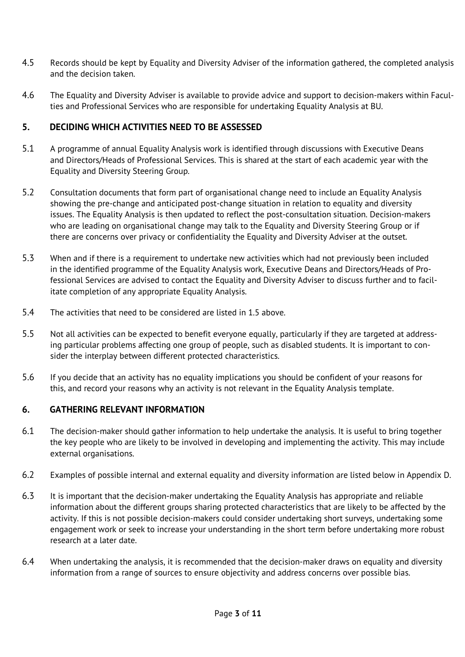- 4.5 Records should be kept by Equality and Diversity Adviser of the information gathered, the completed analysis and the decision taken.
- 4.6 The Equality and Diversity Adviser is available to provide advice and support to decision-makers within Faculties and Professional Services who are responsible for undertaking Equality Analysis at BU.

### **5. DECIDING WHICH ACTIVITIES NEED TO BE ASSESSED**

- 5.1 A programme of annual Equality Analysis work is identified through discussions with Executive Deans and Directors/Heads of Professional Services. This is shared at the start of each academic year with the Equality and Diversity Steering Group.
- 5.2 Consultation documents that form part of organisational change need to include an Equality Analysis showing the pre-change and anticipated post-change situation in relation to equality and diversity issues. The Equality Analysis is then updated to reflect the post-consultation situation. Decision-makers who are leading on organisational change may talk to the Equality and Diversity Steering Group or if there are concerns over privacy or confidentiality the Equality and Diversity Adviser at the outset.
- 5.3 When and if there is a requirement to undertake new activities which had not previously been included in the identified programme of the Equality Analysis work, Executive Deans and Directors/Heads of Professional Services are advised to contact the Equality and Diversity Adviser to discuss further and to facilitate completion of any appropriate Equality Analysis.
- 5.4 The activities that need to be considered are listed in 1.5 above.
- 5.5 Not all activities can be expected to benefit everyone equally, particularly if they are targeted at addressing particular problems affecting one group of people, such as disabled students. It is important to consider the interplay between different protected characteristics.
- 5.6 If you decide that an activity has no equality implications you should be confident of your reasons for this, and record your reasons why an activity is not relevant in the Equality Analysis template.

#### **6. GATHERING RELEVANT INFORMATION**

- 6.1 The decision-maker should gather information to help undertake the analysis. It is useful to bring together the key people who are likely to be involved in developing and implementing the activity. This may include external organisations.
- 6.2 Examples of possible internal and external equality and diversity information are listed below in Appendix D.
- 6.3 It is important that the decision-maker undertaking the Equality Analysis has appropriate and reliable information about the different groups sharing protected characteristics that are likely to be affected by the activity. If this is not possible decision-makers could consider undertaking short surveys, undertaking some engagement work or seek to increase your understanding in the short term before undertaking more robust research at a later date.
- 6.4 When undertaking the analysis, it is recommended that the decision-maker draws on equality and diversity information from a range of sources to ensure objectivity and address concerns over possible bias.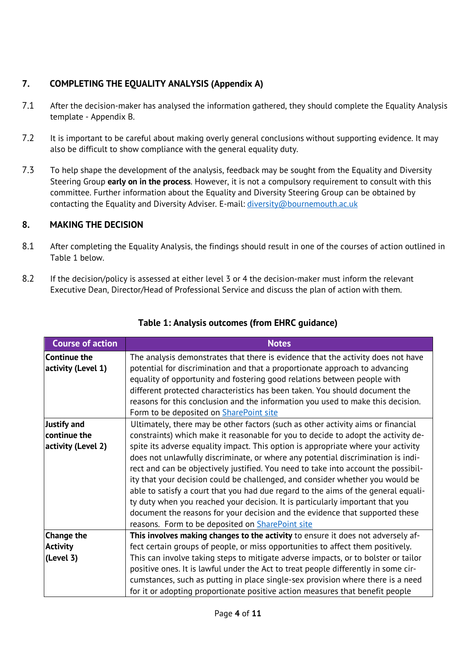# **7. COMPLETING THE EQUALITY ANALYSIS (Appendix A)**

- 7.1 After the decision-maker has analysed the information gathered, they should complete the Equality Analysis template - Appendix B.
- 7.2 It is important to be careful about making overly general conclusions without supporting evidence. It may also be difficult to show compliance with the general equality duty.
- 7.3 To help shape the development of the analysis, feedback may be sought from the Equality and Diversity Steering Group **early on in the process**. However, it is not a compulsory requirement to consult with this committee. Further information about the Equality and Diversity Steering Group can be obtained by contacting the Equality and Diversity Adviser. E-mail: [diversity@bournemouth.ac.uk](mailto:diversity@bournemouth.ac.uk)

# **8. MAKING THE DECISION**

- 8.1 After completing the Equality Analysis, the findings should result in one of the courses of action outlined in Table 1 below.
- 8.2 If the decision/policy is assessed at either level 3 or 4 the decision-maker must inform the relevant Executive Dean, Director/Head of Professional Service and discuss the plan of action with them.

| <b>Course of action</b>                   | <b>Notes</b>                                                                                                                                                                                                                                                                                                                                                                                                                                                                                                                                                                                                                                                   |
|-------------------------------------------|----------------------------------------------------------------------------------------------------------------------------------------------------------------------------------------------------------------------------------------------------------------------------------------------------------------------------------------------------------------------------------------------------------------------------------------------------------------------------------------------------------------------------------------------------------------------------------------------------------------------------------------------------------------|
| <b>Continue the</b><br>activity (Level 1) | The analysis demonstrates that there is evidence that the activity does not have<br>potential for discrimination and that a proportionate approach to advancing<br>equality of opportunity and fostering good relations between people with<br>different protected characteristics has been taken. You should document the<br>reasons for this conclusion and the information you used to make this decision.<br>Form to be deposited on <b>SharePoint site</b>                                                                                                                                                                                                |
| <b>Justify and</b>                        | Ultimately, there may be other factors (such as other activity aims or financial                                                                                                                                                                                                                                                                                                                                                                                                                                                                                                                                                                               |
| continue the                              | constraints) which make it reasonable for you to decide to adopt the activity de-                                                                                                                                                                                                                                                                                                                                                                                                                                                                                                                                                                              |
| activity (Level 2)                        | spite its adverse equality impact. This option is appropriate where your activity<br>does not unlawfully discriminate, or where any potential discrimination is indi-<br>rect and can be objectively justified. You need to take into account the possibil-<br>ity that your decision could be challenged, and consider whether you would be<br>able to satisfy a court that you had due regard to the aims of the general equali-<br>ty duty when you reached your decision. It is particularly important that you<br>document the reasons for your decision and the evidence that supported these<br>reasons. Form to be deposited on <b>SharePoint site</b> |
| <b>Change the</b>                         | This involves making changes to the activity to ensure it does not adversely af-                                                                                                                                                                                                                                                                                                                                                                                                                                                                                                                                                                               |
| <b>Activity</b>                           | fect certain groups of people, or miss opportunities to affect them positively.                                                                                                                                                                                                                                                                                                                                                                                                                                                                                                                                                                                |
| (Level 3)                                 | This can involve taking steps to mitigate adverse impacts, or to bolster or tailor<br>positive ones. It is lawful under the Act to treat people differently in some cir-<br>cumstances, such as putting in place single-sex provision where there is a need<br>for it or adopting proportionate positive action measures that benefit people                                                                                                                                                                                                                                                                                                                   |

# **Table 1: Analysis outcomes (from EHRC guidance)**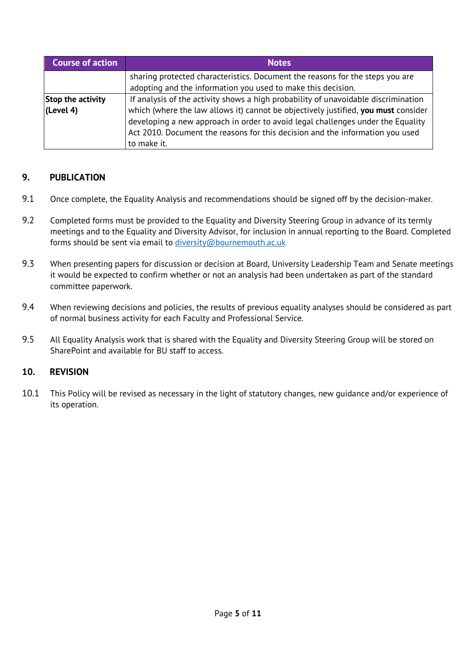| <b>Course of action</b>        | <b>Notes</b>                                                                                                                                                                                                                                                                                                                                                |  |  |
|--------------------------------|-------------------------------------------------------------------------------------------------------------------------------------------------------------------------------------------------------------------------------------------------------------------------------------------------------------------------------------------------------------|--|--|
|                                | sharing protected characteristics. Document the reasons for the steps you are<br>adopting and the information you used to make this decision.                                                                                                                                                                                                               |  |  |
| Stop the activity<br>(Level 4) | If analysis of the activity shows a high probability of unavoidable discrimination<br>which (where the law allows it) cannot be objectively justified, you must consider<br>developing a new approach in order to avoid legal challenges under the Equality<br>Act 2010. Document the reasons for this decision and the information you used<br>to make it. |  |  |

### **9. PUBLICATION**

- 9.1 Once complete, the Equality Analysis and recommendations should be signed off by the decision-maker.
- 9.2 Completed forms must be provided to the Equality and Diversity Steering Group in advance of its termly meetings and to the Equality and Diversity Advisor, for inclusion in annual reporting to the Board. Completed forms should be sent via email to [diversity@bournemouth.ac.uk](mailto:diversity@bournemouth.ac.uk)
- 9.3 When presenting papers for discussion or decision at Board, University Leadership Team and Senate meetings it would be expected to confirm whether or not an analysis had been undertaken as part of the standard committee paperwork.
- 9.4 When reviewing decisions and policies, the results of previous equality analyses should be considered as part of normal business activity for each Faculty and Professional Service.
- 9.5 All Equality Analysis work that is shared with the Equality and Diversity Steering Group will be stored on SharePoint and available for BU staff to access.

#### **10. REVISION**

10.1 This Policy will be revised as necessary in the light of statutory changes, new guidance and/or experience of its operation.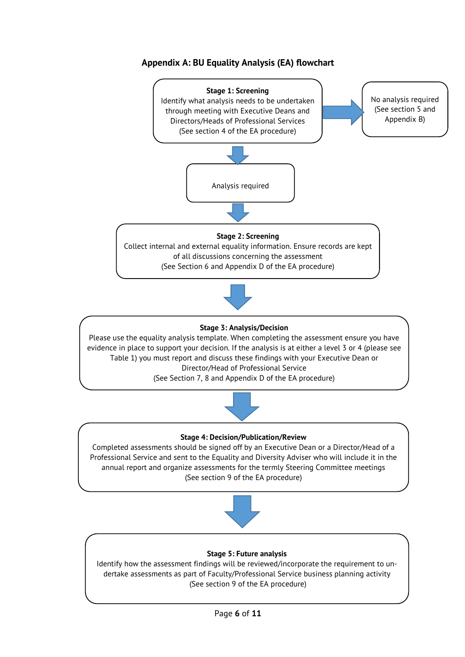# **Appendix A: BU Equality Analysis (EA) flowchart**

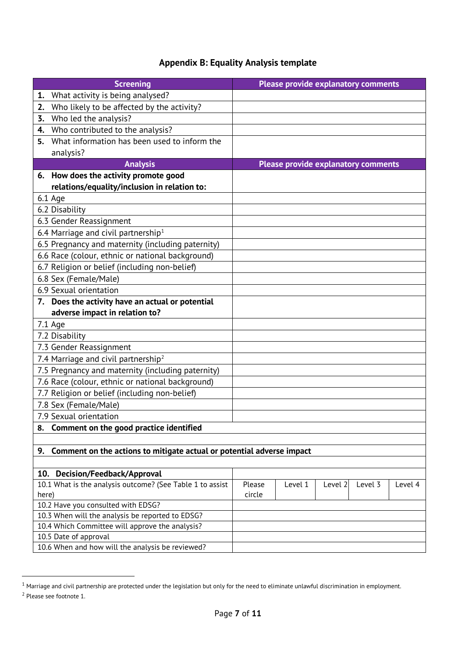# **Appendix B: Equality Analysis template**

| <b>Screening</b>                                                          |        | <b>Please provide explanatory comments</b> |         |         |         |
|---------------------------------------------------------------------------|--------|--------------------------------------------|---------|---------|---------|
| What activity is being analysed?<br>1.                                    |        |                                            |         |         |         |
| Who likely to be affected by the activity?<br>2.                          |        |                                            |         |         |         |
| Who led the analysis?<br>3.                                               |        |                                            |         |         |         |
| Who contributed to the analysis?<br>4.                                    |        |                                            |         |         |         |
| What information has been used to inform the<br>5.                        |        |                                            |         |         |         |
| analysis?                                                                 |        |                                            |         |         |         |
| <b>Analysis</b>                                                           |        | <b>Please provide explanatory comments</b> |         |         |         |
| 6. How does the activity promote good                                     |        |                                            |         |         |         |
| relations/equality/inclusion in relation to:                              |        |                                            |         |         |         |
| $6.1$ Age                                                                 |        |                                            |         |         |         |
| 6.2 Disability                                                            |        |                                            |         |         |         |
| 6.3 Gender Reassignment                                                   |        |                                            |         |         |         |
| 6.4 Marriage and civil partnership <sup>1</sup>                           |        |                                            |         |         |         |
| 6.5 Pregnancy and maternity (including paternity)                         |        |                                            |         |         |         |
| 6.6 Race (colour, ethnic or national background)                          |        |                                            |         |         |         |
| 6.7 Religion or belief (including non-belief)                             |        |                                            |         |         |         |
| 6.8 Sex (Female/Male)                                                     |        |                                            |         |         |         |
| 6.9 Sexual orientation                                                    |        |                                            |         |         |         |
| 7. Does the activity have an actual or potential                          |        |                                            |         |         |         |
| adverse impact in relation to?                                            |        |                                            |         |         |         |
| 7.1 Age                                                                   |        |                                            |         |         |         |
| 7.2 Disability                                                            |        |                                            |         |         |         |
| 7.3 Gender Reassignment                                                   |        |                                            |         |         |         |
| 7.4 Marriage and civil partnership <sup>2</sup>                           |        |                                            |         |         |         |
| 7.5 Pregnancy and maternity (including paternity)                         |        |                                            |         |         |         |
| 7.6 Race (colour, ethnic or national background)                          |        |                                            |         |         |         |
| 7.7 Religion or belief (including non-belief)                             |        |                                            |         |         |         |
| 7.8 Sex (Female/Male)                                                     |        |                                            |         |         |         |
| 7.9 Sexual orientation                                                    |        |                                            |         |         |         |
| Comment on the good practice identified<br>8.                             |        |                                            |         |         |         |
|                                                                           |        |                                            |         |         |         |
| 9. Comment on the actions to mitigate actual or potential adverse impact  |        |                                            |         |         |         |
|                                                                           |        |                                            |         |         |         |
| 10.<br>Decision/Feedback/Approval                                         |        |                                            |         |         |         |
| 10.1 What is the analysis outcome? (See Table 1 to assist                 | Please | Level 1                                    | Level 2 | Level 3 | Level 4 |
| here)                                                                     | circle |                                            |         |         |         |
| 10.2 Have you consulted with EDSG?                                        |        |                                            |         |         |         |
| 10.3 When will the analysis be reported to EDSG?                          |        |                                            |         |         |         |
| 10.4 Which Committee will approve the analysis?                           |        |                                            |         |         |         |
| 10.5 Date of approval<br>10.6 When and how will the analysis be reviewed? |        |                                            |         |         |         |
|                                                                           |        |                                            |         |         |         |

 $\overline{a}$ 

<span id="page-6-1"></span><span id="page-6-0"></span> $^{\rm 1}$  Marriage and civil partnership are protected under the legislation but only for the need to eliminate unlawful discrimination in employment. <sup>2</sup> Please see footnote 1.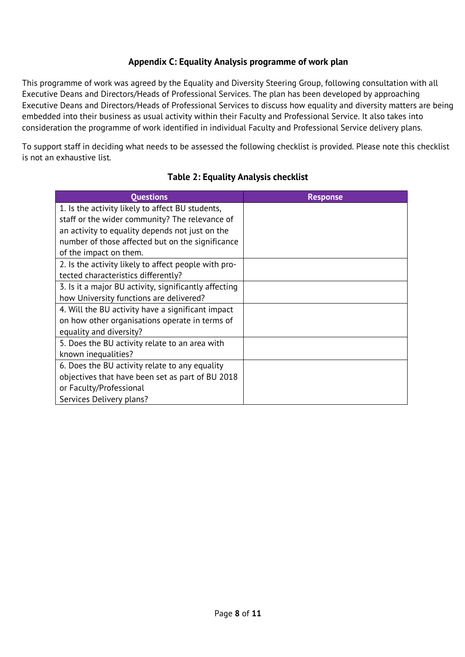## **Appendix C: Equality Analysis programme of work plan**

This programme of work was agreed by the Equality and Diversity Steering Group, following consultation with all Executive Deans and Directors/Heads of Professional Services. The plan has been developed by approaching Executive Deans and Directors/Heads of Professional Services to discuss how equality and diversity matters are being embedded into their business as usual activity within their Faculty and Professional Service. It also takes into consideration the programme of work identified in individual Faculty and Professional Service delivery plans.

To support staff in deciding what needs to be assessed the following checklist is provided. Please note this checklist is not an exhaustive list.

# **Table 2: Equality Analysis checklist**

| <b>Questions</b>                                      | <b>Response</b> |
|-------------------------------------------------------|-----------------|
| 1. Is the activity likely to affect BU students,      |                 |
| staff or the wider community? The relevance of        |                 |
| an activity to equality depends not just on the       |                 |
| number of those affected but on the significance      |                 |
| of the impact on them.                                |                 |
| 2. Is the activity likely to affect people with pro-  |                 |
| tected characteristics differently?                   |                 |
| 3. Is it a major BU activity, significantly affecting |                 |
| how University functions are delivered?               |                 |
| 4. Will the BU activity have a significant impact     |                 |
| on how other organisations operate in terms of        |                 |
| equality and diversity?                               |                 |
| 5. Does the BU activity relate to an area with        |                 |
| known inequalities?                                   |                 |
| 6. Does the BU activity relate to any equality        |                 |
| objectives that have been set as part of BU 2018      |                 |
| or Faculty/Professional                               |                 |
| Services Delivery plans?                              |                 |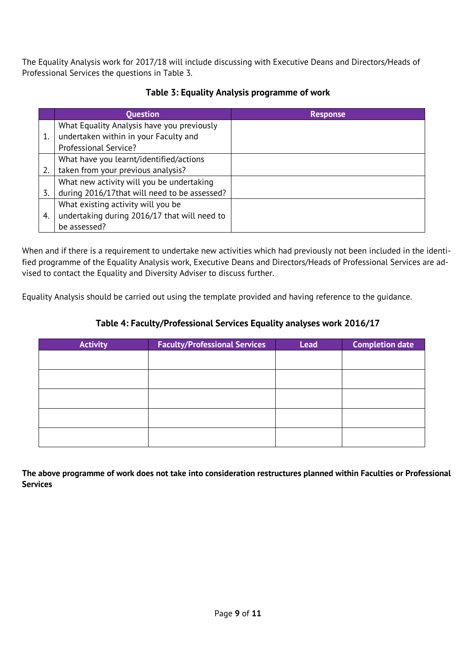The Equality Analysis work for 2017/18 will include discussing with Executive Deans and Directors/Heads of Professional Services the questions in Table 3.

|    | <b>Question</b>                               | <b>Response</b> |
|----|-----------------------------------------------|-----------------|
|    | What Equality Analysis have you previously    |                 |
| 1. | undertaken within in your Faculty and         |                 |
|    | Professional Service?                         |                 |
|    | What have you learnt/identified/actions       |                 |
| 2. | taken from your previous analysis?            |                 |
|    | What new activity will you be undertaking     |                 |
| 3. | during 2016/17 that will need to be assessed? |                 |
|    | What existing activity will you be            |                 |
| 4. | undertaking during 2016/17 that will need to  |                 |
|    | be assessed?                                  |                 |

# **Table 3: Equality Analysis programme of work**

When and if there is a requirement to undertake new activities which had previously not been included in the identified programme of the Equality Analysis work, Executive Deans and Directors/Heads of Professional Services are advised to contact the Equality and Diversity Adviser to discuss further.

Equality Analysis should be carried out using the template provided and having reference to the guidance.

## **Table 4: Faculty/Professional Services Equality analyses work 2016/17**

| <b>Activity</b> | <b>Faculty/Professional Services</b> | <b>Lead</b> | <b>Completion date</b> |
|-----------------|--------------------------------------|-------------|------------------------|
|                 |                                      |             |                        |
|                 |                                      |             |                        |
|                 |                                      |             |                        |
|                 |                                      |             |                        |
|                 |                                      |             |                        |

**The above programme of work does not take into consideration restructures planned within Faculties or Professional Services**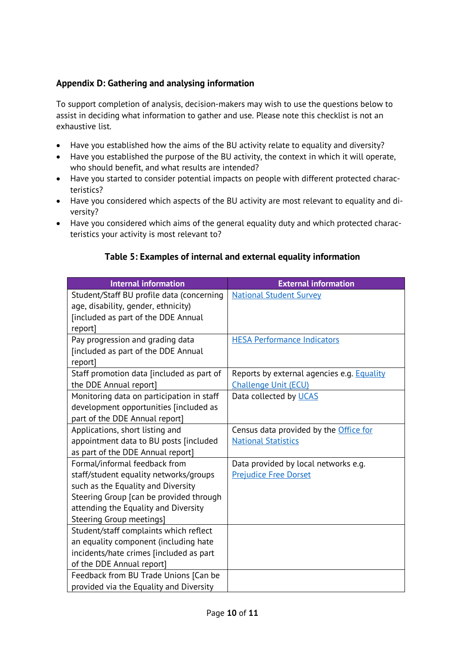## **Appendix D: Gathering and analysing information**

To support completion of analysis, decision-makers may wish to use the questions below to assist in deciding what information to gather and use. Please note this checklist is not an exhaustive list.

- Have you established how the aims of the BU activity relate to equality and diversity?
- Have you established the purpose of the BU activity, the context in which it will operate, who should benefit, and what results are intended?
- Have you started to consider potential impacts on people with different protected characteristics?
- Have you considered which aspects of the BU activity are most relevant to equality and diversity?
- Have you considered which aims of the general equality duty and which protected characteristics your activity is most relevant to?

| <b>Internal information</b>               | <b>External information</b>                       |
|-------------------------------------------|---------------------------------------------------|
| Student/Staff BU profile data (concerning | <b>National Student Survey</b>                    |
| age, disability, gender, ethnicity)       |                                                   |
| [included as part of the DDE Annual       |                                                   |
| report]                                   |                                                   |
| Pay progression and grading data          | <b>HESA Performance Indicators</b>                |
| [included as part of the DDE Annual       |                                                   |
| report]                                   |                                                   |
| Staff promotion data [included as part of | Reports by external agencies e.g. <b>Equality</b> |
| the DDE Annual report]                    | <b>Challenge Unit (ECU)</b>                       |
| Monitoring data on participation in staff | Data collected by UCAS                            |
| development opportunities [included as    |                                                   |
| part of the DDE Annual report]            |                                                   |
| Applications, short listing and           | Census data provided by the Office for            |
| appointment data to BU posts [included    | <b>National Statistics</b>                        |
| as part of the DDE Annual report]         |                                                   |
| Formal/informal feedback from             | Data provided by local networks e.g.              |
| staff/student equality networks/groups    | <b>Prejudice Free Dorset</b>                      |
| such as the Equality and Diversity        |                                                   |
| Steering Group [can be provided through   |                                                   |
| attending the Equality and Diversity      |                                                   |
| <b>Steering Group meetings]</b>           |                                                   |
| Student/staff complaints which reflect    |                                                   |
| an equality component (including hate     |                                                   |
| incidents/hate crimes [included as part   |                                                   |
| of the DDE Annual report]                 |                                                   |
| Feedback from BU Trade Unions [Can be     |                                                   |
| provided via the Equality and Diversity   |                                                   |

### **Table 5: Examples of internal and external equality information**